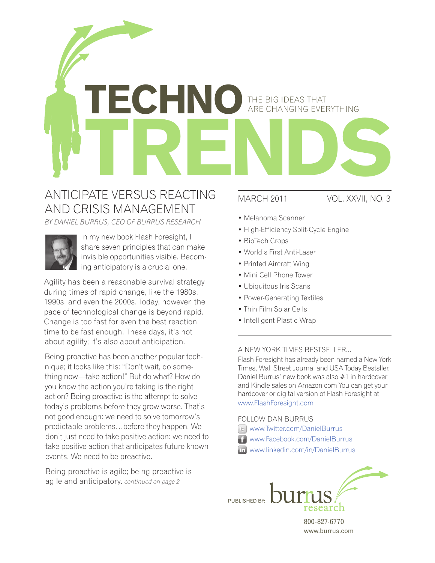# ECHI TRENDS THE BIG IDEAS THAT ARE CHANGING EVERYTHING

## ANTICIPATE VERSUS REACTING AND CRISIS MANAGEMENT

*By Daniel Burrus, CEO of Burrus Research*



In my new book Flash Foresight, I share seven principles that can make invisible opportunities visible. Becoming anticipatory is a crucial one.

Agility has been a reasonable survival strategy during times of rapid change, like the 1980s, 1990s, and even the 2000s. Today, however, the pace of technological change is beyond rapid. Change is too fast for even the best reaction time to be fast enough. These days, it's not about agility; it's also about anticipation.

Being proactive has been another popular technique; it looks like this: "Don't wait, do something now—take action!" But do what? How do you know the action you're taking is the right action? Being proactive is the attempt to solve today's problems before they grow worse. That's not good enough: we need to solve tomorrow's predictable problems…before they happen. We don't just need to take positive action: we need to take positive action that anticipates future known events. We need to be preactive.

Being proactive is agile; being preactive is agile and anticipatory. *continued on page 2*

### MARCH 2011 VOL. XXVII, NO. 3

- Melanoma Scanner
- High-Efficiency Split-Cycle Engine
- BioTech Crops
- World's First Anti-Laser
- Printed Aircraft Wing
- Mini Cell Phone Tower
- Ubiquitous Iris Scans
- Power-Generating Textiles
- Thin Film Solar Cells
- Intelligent Plastic Wrap

#### A NEW YORK TIMES BESTSELLER...

Flash Foresight has already been named a New York Times, Wall Street Journal and USA Today Bestsller. Daniel Burrus' new book was also #1 in hardcover and Kindle sales on Amazon.com You can get your hardcover or digital version of Flash Foresight at [www.FlashForesight.com](http://www.FlashForesight.com)

#### FOLLOW DAN BURRUS

- [www.Twitter.com/DanielBurrus](http://www.Twitter.com/DanielBurrus)
- **f** [www.Facebook.com/DanielBurrus](http://www.Facebook.com/DanielBurrus)
- in [www.linkedin.com/in/DanielBurrus](http://www.linkedin.com/in/DanielBurrus)



800-827-6770 [www.burrus.com](http://www.burrus.com)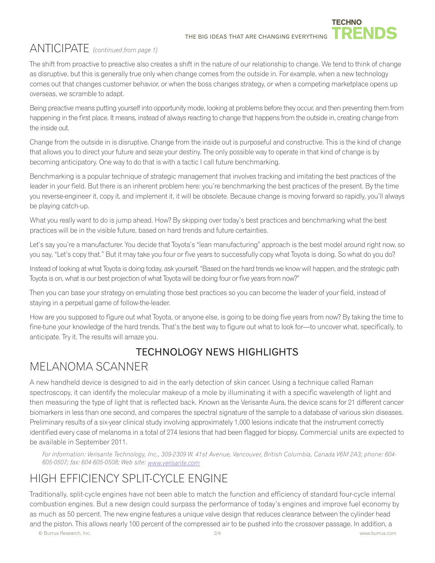## THE BIG IDEAS THAT ARE CHANGING EVERYTHING **TRENDS**



## ANTICIPATE *(continued from page 1)*

The shift from proactive to preactive also creates a shift in the nature of our relationship to change. We tend to think of change as disruptive, but this is generally true only when change comes from the outside in. For example, when a new technology comes out that changes customer behavior, or when the boss changes strategy, or when a competing marketplace opens up overseas, we scramble to adapt.

Being preactive means putting yourself into opportunity mode, looking at problems before they occur, and then preventing them from happening in the first place. It means, instead of always reacting to change that happens from the outside in, creating change from the inside out.

Change from the outside in is disruptive. Change from the inside out is purposeful and constructive. This is the kind of change that allows you to direct your future and seize your destiny. The only possible way to operate in that kind of change is by becoming anticipatory. One way to do that is with a tactic I call future benchmarking.

Benchmarking is a popular technique of strategic management that involves tracking and imitating the best practices of the leader in your field. But there is an inherent problem here: you're benchmarking the best practices of the present. By the time you reverse-engineer it, copy it, and implement it, it will be obsolete. Because change is moving forward so rapidly, you'll always be playing catch-up.

What you really want to do is jump ahead. How? By skipping over today's best practices and benchmarking what the best practices will be in the visible future, based on hard trends and future certainties.

Let's say you're a manufacturer. You decide that Toyota's "lean manufacturing" approach is the best model around right now, so you say, "Let's copy that." But it may take you four or five years to successfully copy what Toyota is doing. So what do you do?

Instead of looking at what Toyota is doing today, ask yourself, "Based on the hard trends we know will happen, and the strategic path Toyota is on, what is our best projection of what Toyota will be doing four or five years from now?"

Then you can base your strategy on emulating those best practices so you can become the leader of your field, instead of staying in a perpetual game of follow-the-leader.

How are you supposed to figure out what Toyota, or anyone else, is going to be doing five years from now? By taking the time to fine-tune your knowledge of the hard trends. That's the best way to figure out what to look for—to uncover what, specifically, to anticipate. Try it. The results will amaze you.

## TECHNOLOGY NEWS HIGHLIGHTS

## MELANOMA SCANNER

A new handheld device is designed to aid in the early detection of skin cancer. Using a technique called Raman spectroscopy, it can identify the molecular makeup of a mole by illuminating it with a specific wavelength of light and then measuring the type of light that is reflected back. Known as the Verisante Aura, the device scans for 21 different cancer biomarkers in less than one second, and compares the spectral signature of the sample to a database of various skin diseases. Preliminary results of a six-year clinical study involving approximately 1,000 lesions indicate that the instrument correctly identified every case of melanoma in a total of 274 lesions that had been flagged for biopsy. Commercial units are expected to be available in September 2011.

*For information: Verisante Technology, Inc., 309-2309 W. 41st Avenue, Vancouver, British Columbia, Canada V6M 2A3; phone: 604- 605-0507; fax: 604-605-0508; Web site: [www.verisante.com](http://www.verisante.com)*

## HIGH EFFICIENCY SPLIT-CYCLF FNGINF

Traditionally, split-cycle engines have not been able to match the function and efficiency of standard four-cycle internal combustion engines. But a new design could surpass the performance of today's engines and improve fuel economy by as much as 50 percent. The new engine features a unique valve design that reduces clearance between the cylinder head and the piston. This allows nearly 100 percent of the compressed air to be pushed into the crossover passage. In addition, a

© Burrus Research, Inc. 2/4 [www.burrus.com](http://www.burrus.com)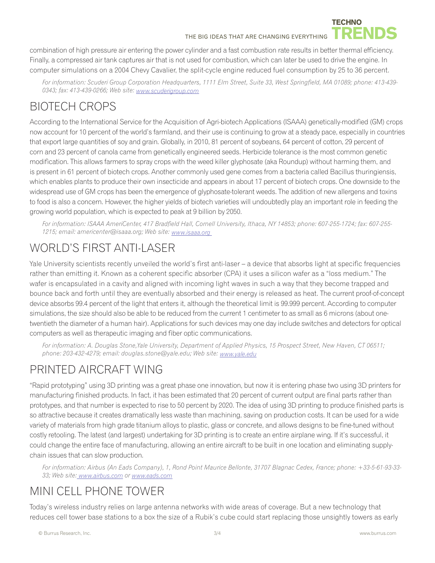#### THE BIG IDEAS THAT ARE CHANGING EVERYTHING

**TECHNO** 

combination of high pressure air entering the power cylinder and a fast combustion rate results in better thermal efficiency. Finally, a compressed air tank captures air that is not used for combustion, which can later be used to drive the engine. In computer simulations on a 2004 Chevy Cavalier, the split-cycle engine reduced fuel consumption by 25 to 36 percent.

*For information: Scuderi Group Corporation Headquarters, 1111 Elm Street, Suite 33, West Springfield, MA 01089; phone: 413-439- 0343; fax: 413-439-0266; Web site: [www.scuderigroup.com](http://www.scuderigroup.com)* 

## BIOTECH CROPS

According to the International Service for the Acquisition of Agri-biotech Applications (ISAAA) genetically-modified (GM) crops now account for 10 percent of the world's farmland, and their use is continuing to grow at a steady pace, especially in countries that export large quantities of soy and grain. Globally, in 2010, 81 percent of soybeans, 64 percent of cotton, 29 percent of corn and 23 percent of canola came from genetically engineered seeds. Herbicide tolerance is the most common genetic modification. This allows farmers to spray crops with the weed killer glyphosate (aka Roundup) without harming them, and is present in 61 percent of biotech crops. Another commonly used gene comes from a bacteria called Bacillus thuringiensis, which enables plants to produce their own insecticide and appears in about 17 percent of biotech crops. One downside to the widespread use of GM crops has been the emergence of glyphosate-tolerant weeds. The addition of new allergens and toxins to food is also a concern. However, the higher yields of biotech varieties will undoubtedly play an important role in feeding the growing world population, which is expected to peak at 9 billion by 2050.

*For information: ISAAA AmeriCenter, 417 Bradfield Hall, Cornell University, Ithaca, NY 14853; phone: 607-255-1724; fax: 607-255- 1215; email: [americenter@isaaa.org; W](mailto:americenter@isaaa.org)eb site: [www.isaaa.org](http://www.isaaa.org)* 

## WORLD'S FIRST ANTI-LASER

Yale University scientists recently unveiled the world's first anti-laser – a device that absorbs light at specific frequencies rather than emitting it. Known as a coherent specific absorber (CPA) it uses a silicon wafer as a "loss medium." The wafer is encapsulated in a cavity and aligned with incoming light waves in such a way that they become trapped and bounce back and forth until they are eventually absorbed and their energy is released as heat. The current proof-of-concept device absorbs 99.4 percent of the light that enters it, although the theoretical limit is 99.999 percent. According to computer simulations, the size should also be able to be reduced from the current 1 centimeter to as small as 6 microns (about onetwentieth the diameter of a human hair). Applications for such devices may one day include switches and detectors for optical computers as well as therapeutic imaging and fiber optic communications.

*For information: A. Douglas Stone,Yale University, Department of Applied Physics, 15 Prospect Street, New Haven, CT 06511; phone: 203-432-4279; email: [douglas.stone@yale.edu; W](mailto:douglas.stone@yale.edu)eb site: [www.yale.edu](http://www.yale.edu)*

## PRINTED AIRCRAFT WING

"Rapid prototyping" using 3D printing was a great phase one innovation, but now it is entering phase two using 3D printers for manufacturing finished products. In fact, it has been estimated that 20 percent of current output are final parts rather than prototypes, and that number is expected to rise to 50 percent by 2020. The idea of using 3D printing to produce finished parts is so attractive because it creates dramatically less waste than machining, saving on production costs. It can be used for a wide variety of materials from high grade titanium alloys to plastic, glass or concrete, and allows designs to be fine-tuned without costly retooling. The latest (and largest) undertaking for 3D printing is to create an entire airplane wing. If it's successful, it could change the entire face of manufacturing, allowing an entire aircraft to be built in one location and eliminating supplychain issues that can slow production.

*For information: Airbus (An Eads Company), 1, Rond Point Maurice Bellonte, 31707 Blagnac Cedex, France; phone: +33-5-61-93-33- 33; Web site: [www.airbus.com or](http://www.airbus.com) [www.eads.com](http://www.eads.com)*

## MINI CELL PHONE TOWER

Today's wireless industry relies on large antenna networks with wide areas of coverage. But a new technology that reduces cell tower base stations to a box the size of a Rubik's cube could start replacing those unsightly towers as early